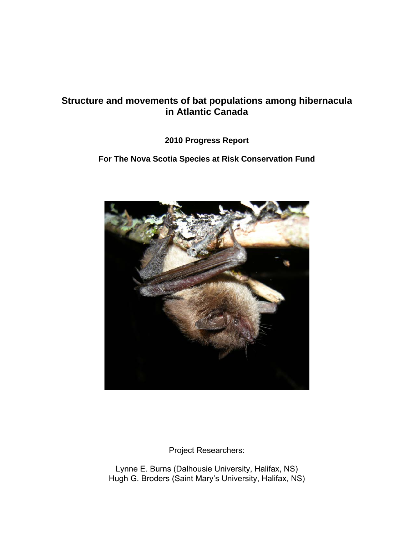# **Structure and movements of bat populations among hibernacula in Atlantic Canada**

## **2010 Progress Report**

### **For The Nova Scotia Species at Risk Conservation Fund**



Project Researchers:

Lynne E. Burns (Dalhousie University, Halifax, NS) Hugh G. Broders (Saint Mary's University, Halifax, NS)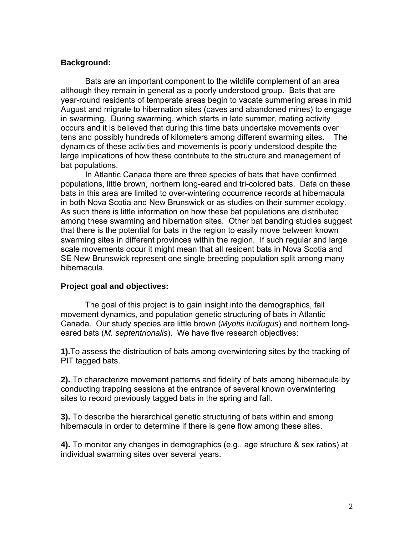#### **Background:**

Bats are an important component to the wildlife complement of an area although they remain in general as a poorly understood group. Bats that are year-round residents of temperate areas begin to vacate summering areas in mid August and migrate to hibernation sites (caves and abandoned mines) to engage in swarming. During swarming, which starts in late summer, mating activity occurs and it is believed that during this time bats undertake movements over tens and possibly hundreds of kilometers among different swarming sites. The dynamics of these activities and movements is poorly understood despite the large implications of how these contribute to the structure and management of bat populations.

In Atlantic Canada there are three species of bats that have confirmed populations, little brown, northern long-eared and tri-colored bats. Data on these bats in this area are limited to over-wintering occurrence records at hibernacula in both Nova Scotia and New Brunswick or as studies on their summer ecology. As such there is little information on how these bat populations are distributed among these swarming and hibernation sites. Other bat banding studies suggest that there is the potential for bats in the region to easily move between known swarming sites in different provinces within the region. If such regular and large scale movements occur it might mean that all resident bats in Nova Scotia and SE New Brunswick represent one single breeding population split among many hibernacula.

#### **Project goal and objectives:**

The goal of this project is to gain insight into the demographics, fall movement dynamics, and population genetic structuring of bats in Atlantic Canada. Our study species are little brown (*Myotis lucifugus*) and northern longeared bats (*M. septentrionalis*). We have five research objectives:

**1).**To assess the distribution of bats among overwintering sites by the tracking of PIT tagged bats.

**2).** To characterize movement patterns and fidelity of bats among hibernacula by conducting trapping sessions at the entrance of several known overwintering sites to record previously tagged bats in the spring and fall.

**3).** To describe the hierarchical genetic structuring of bats within and among hibernacula in order to determine if there is gene flow among these sites.

**4).** To monitor any changes in demographics (e.g., age structure & sex ratios) at individual swarming sites over several years.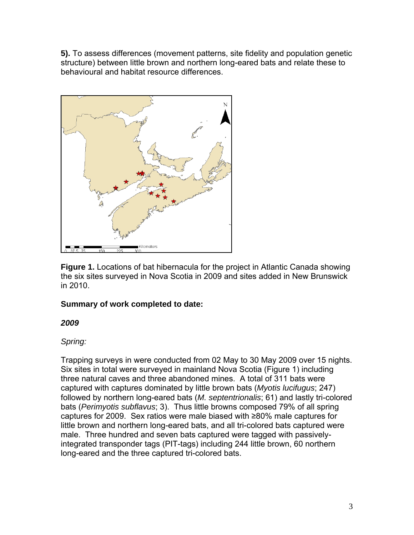**5).** To assess differences (movement patterns, site fidelity and population genetic structure) between little brown and northern long-eared bats and relate these to behavioural and habitat resource differences.



**Figure 1.** Locations of bat hibernacula for the project in Atlantic Canada showing the six sites surveyed in Nova Scotia in 2009 and sites added in New Brunswick in 2010.

# **Summary of work completed to date:**

# *2009*

# *Spring:*

Trapping surveys in were conducted from 02 May to 30 May 2009 over 15 nights. Six sites in total were surveyed in mainland Nova Scotia (Figure 1) including three natural caves and three abandoned mines. A total of 311 bats were captured with captures dominated by little brown bats (*Myotis lucifugus*; 247) followed by northern long-eared bats (*M. septentrionalis*; 61) and lastly tri-colored bats (*Perimyotis subflavus*; 3). Thus little browns composed 79% of all spring captures for 2009. Sex ratios were male biased with ≥80% male captures for little brown and northern long-eared bats, and all tri-colored bats captured were male. Three hundred and seven bats captured were tagged with passivelyintegrated transponder tags (PIT-tags) including 244 little brown, 60 northern long-eared and the three captured tri-colored bats.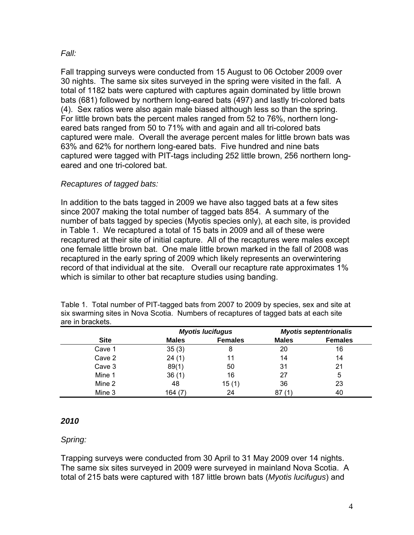### *Fall:*

Fall trapping surveys were conducted from 15 August to 06 October 2009 over 30 nights. The same six sites surveyed in the spring were visited in the fall. A total of 1182 bats were captured with captures again dominated by little brown bats (681) followed by northern long-eared bats (497) and lastly tri-colored bats (4). Sex ratios were also again male biased although less so than the spring. For little brown bats the percent males ranged from 52 to 76%, northern longeared bats ranged from 50 to 71% with and again and all tri-colored bats captured were male. Overall the average percent males for little brown bats was 63% and 62% for northern long-eared bats. Five hundred and nine bats captured were tagged with PIT-tags including 252 little brown, 256 northern longeared and one tri-colored bat.

## *Recaptures of tagged bats:*

In addition to the bats tagged in 2009 we have also tagged bats at a few sites since 2007 making the total number of tagged bats 854. A summary of the number of bats tagged by species (Myotis species only), at each site, is provided in Table 1. We recaptured a total of 15 bats in 2009 and all of these were recaptured at their site of initial capture. All of the recaptures were males except one female little brown bat. One male little brown marked in the fall of 2008 was recaptured in the early spring of 2009 which likely represents an overwintering record of that individual at the site. Overall our recapture rate approximates 1% which is similar to other bat recapture studies using banding.

| $C_{\text{max}}$                                                                     | $M - L -$               | Fameles |                               | Esmalas |
|--------------------------------------------------------------------------------------|-------------------------|---------|-------------------------------|---------|
|                                                                                      | <b>Myotis lucifugus</b> |         | <b>Myotis septentrionalis</b> |         |
| are in brackets.                                                                     |                         |         |                               |         |
| six swarming sites in Nova Scotia. Numbers of recaptures of tagged bats at each site |                         |         |                               |         |
|                                                                                      |                         |         |                               |         |

Table 1. Total number of PIT-tagged bats from 2007 to 2009 by species, sex and site at

|             |              | <b>Myotis lucifugus</b> |              | <b>Myotis septentrionalis</b> |
|-------------|--------------|-------------------------|--------------|-------------------------------|
| <b>Site</b> | <b>Males</b> | <b>Females</b>          | <b>Males</b> | <b>Females</b>                |
| Cave 1      | 35(3)        | 8                       | 20           | 16                            |
| Cave 2      | 24(1)        | 11                      | 14           | 14                            |
| Cave 3      | 89(1)        | 50                      | 31           | 21                            |
| Mine 1      | 36(1)        | 16                      | 27           | 5                             |
| Mine 2      | 48           | 15(1)                   | 36           | 23                            |
| Mine 3      | 164 (7)      | 24                      | 87           | 40                            |

## *2010*

## *Spring:*

Trapping surveys were conducted from 30 April to 31 May 2009 over 14 nights. The same six sites surveyed in 2009 were surveyed in mainland Nova Scotia. A total of 215 bats were captured with 187 little brown bats (*Myotis lucifugus*) and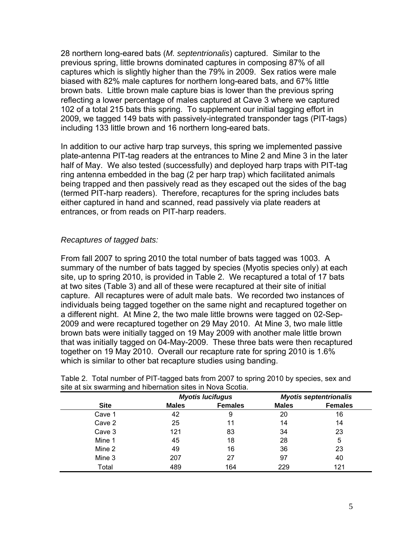28 northern long-eared bats (*M. septentrionalis*) captured. Similar to the previous spring, little browns dominated captures in composing 87% of all captures which is slightly higher than the 79% in 2009. Sex ratios were male biased with 82% male captures for northern long-eared bats, and 67% little brown bats. Little brown male capture bias is lower than the previous spring reflecting a lower percentage of males captured at Cave 3 where we captured 102 of a total 215 bats this spring. To supplement our initial tagging effort in 2009, we tagged 149 bats with passively-integrated transponder tags (PIT-tags) including 133 little brown and 16 northern long-eared bats.

In addition to our active harp trap surveys, this spring we implemented passive plate-antenna PIT-tag readers at the entrances to Mine 2 and Mine 3 in the later half of May. We also tested (successfully) and deployed harp traps with PIT-tag ring antenna embedded in the bag (2 per harp trap) which facilitated animals being trapped and then passively read as they escaped out the sides of the bag (termed PIT-harp readers). Therefore, recaptures for the spring includes bats either captured in hand and scanned, read passively via plate readers at entrances, or from reads on PIT-harp readers.

### *Recaptures of tagged bats:*

From fall 2007 to spring 2010 the total number of bats tagged was 1003. A summary of the number of bats tagged by species (Myotis species only) at each site, up to spring 2010, is provided in Table 2. We recaptured a total of 17 bats at two sites (Table 3) and all of these were recaptured at their site of initial capture. All recaptures were of adult male bats. We recorded two instances of individuals being tagged together on the same night and recaptured together on a different night. At Mine 2, the two male little browns were tagged on 02-Sep-2009 and were recaptured together on 29 May 2010. At Mine 3, two male little brown bats were initially tagged on 19 May 2009 with another male little brown that was initially tagged on 04-May-2009. These three bats were then recaptured together on 19 May 2010. Overall our recapture rate for spring 2010 is 1.6% which is similar to other bat recapture studies using banding.

|             |              | <b>Myotis lucifugus</b> | <b>Myotis septentrionalis</b> |                |  |
|-------------|--------------|-------------------------|-------------------------------|----------------|--|
| <b>Site</b> | <b>Males</b> | <b>Females</b>          | <b>Males</b>                  | <b>Females</b> |  |
| Cave 1      | 42           | 9                       | 20                            | 16             |  |
| Cave 2      | 25           | 11                      | 14                            | 14             |  |
| Cave 3      | 121          | 83                      | 34                            | 23             |  |
| Mine 1      | 45           | 18                      | 28                            | 5              |  |
| Mine 2      | 49           | 16                      | 36                            | 23             |  |
| Mine 3      | 207          | 27                      | 97                            | 40             |  |
| Total       | 489          | 164                     | 229                           | 121            |  |

Table 2. Total number of PIT-tagged bats from 2007 to spring 2010 by species, sex and site at six swarming and hibernation sites in Nova Scotia.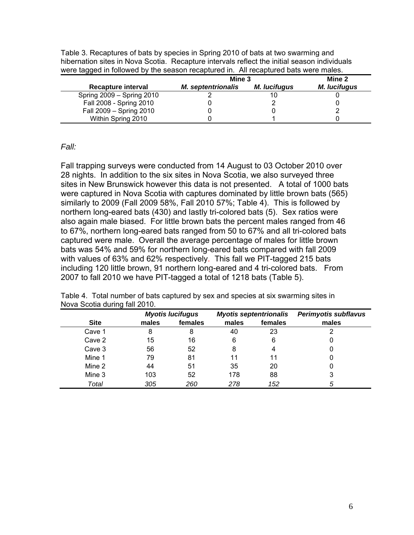| Mine 2<br>Mine 3          |                     |                     |                                                                                      |  |
|---------------------------|---------------------|---------------------|--------------------------------------------------------------------------------------|--|
| <b>M.</b> septentrionalis | <b>M.</b> lucifugus | <b>M.</b> lucifugus |                                                                                      |  |
|                           |                     |                     |                                                                                      |  |
|                           |                     |                     |                                                                                      |  |
|                           |                     |                     | were tagged in followed by the season recaptured in. All recaptured bats were males. |  |

Fall 2009 – Spring 2010 0 0 2

Within Spring 2010 **0** 1

Table 3. Recaptures of bats by species in Spring 2010 of bats at two swarming and hibernation sites in Nova Scotia. Recapture intervals reflect the initial season individuals

#### *Fall:*

Fall trapping surveys were conducted from 14 August to 03 October 2010 over 28 nights. In addition to the six sites in Nova Scotia, we also surveyed three sites in New Brunswick however this data is not presented. A total of 1000 bats were captured in Nova Scotia with captures dominated by little brown bats (565) similarly to 2009 (Fall 2009 58%, Fall 2010 57%; Table 4). This is followed by northern long-eared bats (430) and lastly tri-colored bats (5). Sex ratios were also again male biased. For little brown bats the percent males ranged from 46 to 67%, northern long-eared bats ranged from 50 to 67% and all tri-colored bats captured were male. Overall the average percentage of males for little brown bats was 54% and 59% for northern long-eared bats compared with fall 2009 with values of 63% and 62% respectively. This fall we PIT-tagged 215 bats including 120 little brown, 91 northern long-eared and 4 tri-colored bats. From 2007 to fall 2010 we have PIT-tagged a total of 1218 bats (Table 5).

|             |       | <b>Myotis lucifugus</b> | <b>Myotis septentrionalis</b> |         | <b>Perimyotis subflavus</b> |
|-------------|-------|-------------------------|-------------------------------|---------|-----------------------------|
| <b>Site</b> | males | females                 | males                         | females | males                       |
| Cave 1      | 8     | 8                       | 40                            | 23      |                             |
| Cave 2      | 15    | 16                      | 6                             | 6       |                             |
| Cave 3      | 56    | 52                      | 8                             | 4       |                             |
| Mine 1      | 79    | 81                      | 11                            | 11      |                             |
| Mine 2      | 44    | 51                      | 35                            | 20      |                             |
| Mine 3      | 103   | 52                      | 178                           | 88      | 3                           |
| Total       | 305   | 260                     | 278                           | 152     | 5                           |

Table 4. Total number of bats captured by sex and species at six swarming sites in Nova Scotia during fall 2010.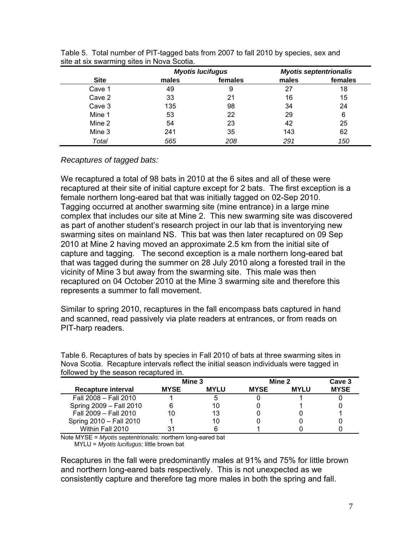|             |       | <b>Myotis lucifugus</b> |       | <b>Myotis septentrionalis</b> |  |
|-------------|-------|-------------------------|-------|-------------------------------|--|
| <b>Site</b> | males | females                 | males | females                       |  |
| Cave 1      | 49    | 9                       | 27    | 18                            |  |
| Cave 2      | 33    | 21                      | 16    | 15                            |  |
| Cave 3      | 135   | 98                      | 34    | 24                            |  |
| Mine 1      | 53    | 22                      | 29    | 6                             |  |
| Mine 2      | 54    | 23                      | 42    | 25                            |  |
| Mine 3      | 241   | 35                      | 143   | 62                            |  |
| Total       | 565   | 208                     | 291   | 150                           |  |

|  | Table 5. Total number of PIT-tagged bats from 2007 to fall 2010 by species, sex and |  |  |  |
|--|-------------------------------------------------------------------------------------|--|--|--|
|  | site at six swarming sites in Nova Scotia.                                          |  |  |  |

#### *Recaptures of tagged bats:*

We recaptured a total of 98 bats in 2010 at the 6 sites and all of these were recaptured at their site of initial capture except for 2 bats. The first exception is a female northern long-eared bat that was initially tagged on 02-Sep 2010. Tagging occurred at another swarming site (mine entrance) in a large mine complex that includes our site at Mine 2. This new swarming site was discovered as part of another student's research project in our lab that is inventorying new swarming sites on mainland NS. This bat was then later recaptured on 09 Sep 2010 at Mine 2 having moved an approximate 2.5 km from the initial site of capture and tagging. The second exception is a male northern long-eared bat that was tagged during the summer on 28 July 2010 along a forested trail in the vicinity of Mine 3 but away from the swarming site. This male was then recaptured on 04 October 2010 at the Mine 3 swarming site and therefore this represents a summer to fall movement.

Similar to spring 2010, recaptures in the fall encompass bats captured in hand and scanned, read passively via plate readers at entrances, or from reads on PIT-harp readers.

|                         | Mine 3      |             |             | Mine 2      | Cave 3      |
|-------------------------|-------------|-------------|-------------|-------------|-------------|
| Recapture interval      | <b>MYSE</b> | <b>MYLU</b> | <b>MYSE</b> | <b>MYLU</b> | <b>MYSE</b> |
| Fall 2008 - Fall 2010   |             | ۰.          |             |             |             |
| Spring 2009 - Fall 2010 |             | 10          |             |             |             |
| Fall 2009 - Fall 2010   | 10          | 13          |             |             |             |
| Spring 2010 - Fall 2010 |             | 10          |             |             |             |
| Within Fall 2010        |             |             |             |             |             |

Table 6. Recaptures of bats by species in Fall 2010 of bats at three swarming sites in Nova Scotia. Recapture intervals reflect the initial season individuals were tagged in followed by the season recaptured in

Note MYSE = *Myotis septentrionalis:* northern long-eared bat MYLU = *Myotis lucifugus:* little brown bat

Recaptures in the fall were predominantly males at 91% and 75% for little brown and northern long-eared bats respectively. This is not unexpected as we consistently capture and therefore tag more males in both the spring and fall.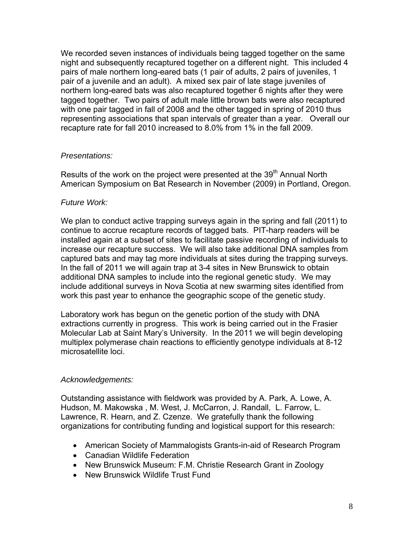We recorded seven instances of individuals being tagged together on the same night and subsequently recaptured together on a different night. This included 4 pairs of male northern long-eared bats (1 pair of adults, 2 pairs of juveniles, 1 pair of a juvenile and an adult). A mixed sex pair of late stage juveniles of northern long-eared bats was also recaptured together 6 nights after they were tagged together. Two pairs of adult male little brown bats were also recaptured with one pair tagged in fall of 2008 and the other tagged in spring of 2010 thus representing associations that span intervals of greater than a year. Overall our recapture rate for fall 2010 increased to 8.0% from 1% in the fall 2009.

### *Presentations:*

Results of the work on the project were presented at the 39<sup>th</sup> Annual North American Symposium on Bat Research in November (2009) in Portland, Oregon.

### *Future Work:*

We plan to conduct active trapping surveys again in the spring and fall (2011) to continue to accrue recapture records of tagged bats. PIT-harp readers will be installed again at a subset of sites to facilitate passive recording of individuals to increase our recapture success. We will also take additional DNA samples from captured bats and may tag more individuals at sites during the trapping surveys. In the fall of 2011 we will again trap at 3-4 sites in New Brunswick to obtain additional DNA samples to include into the regional genetic study. We may include additional surveys in Nova Scotia at new swarming sites identified from work this past year to enhance the geographic scope of the genetic study.

Laboratory work has begun on the genetic portion of the study with DNA extractions currently in progress. This work is being carried out in the Frasier Molecular Lab at Saint Mary's University. In the 2011 we will begin developing multiplex polymerase chain reactions to efficiently genotype individuals at 8-12 microsatellite loci.

### *Acknowledgements:*

Outstanding assistance with fieldwork was provided by A. Park, A. Lowe, A. Hudson, M. Makowska , M. West, J. McCarron, J. Randall, L. Farrow, L. Lawrence, R. Hearn, and Z. Czenze. We gratefully thank the following organizations for contributing funding and logistical support for this research:

- American Society of Mammalogists Grants-in-aid of Research Program
- Canadian Wildlife Federation
- New Brunswick Museum: F.M. Christie Research Grant in Zoology
- New Brunswick Wildlife Trust Fund